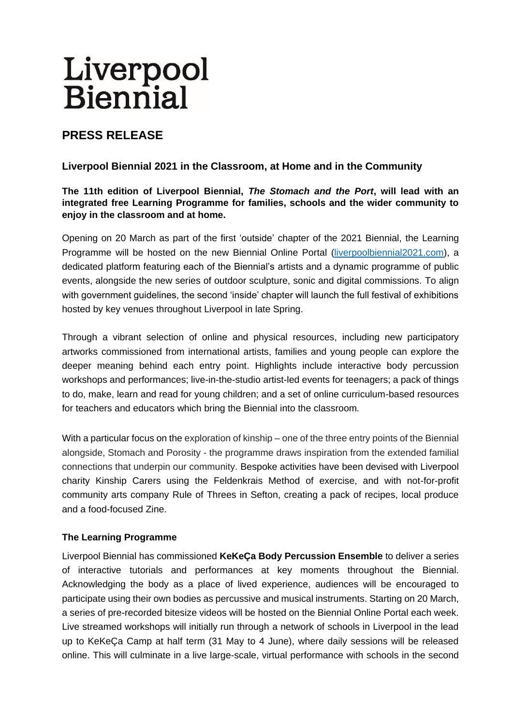# Liverpool<br>Biennial

# **PRESS RELEASE**

# **Liverpool Biennial 2021 in the Classroom, at Home and in the Community**

## **The 11th edition of Liverpool Biennial,** *The Stomach and the Port***, will lead with an integrated free Learning Programme for families, schools and the wider community to enjoy in the classroom and at home.**

Opening on 20 March as part of the first 'outside' chapter of the 2021 Biennial, the Learning Programme will be hosted on the new Biennial Online Portal [\(liverpoolbiennial2021.com\)](https://liverpoolbiennial2021.com/), a dedicated platform featuring each of the Biennial's artists and a dynamic programme of public events, alongside the new series of outdoor sculpture, sonic and digital commissions. To align with government guidelines, the second 'inside' chapter will launch the full festival of exhibitions hosted by key venues throughout Liverpool in late Spring.

Through a vibrant selection of online and physical resources, including new participatory artworks commissioned from international artists, families and young people can explore the deeper meaning behind each entry point. Highlights include interactive body percussion workshops and performances; live-in-the-studio artist-led events for teenagers; a pack of things to do, make, learn and read for young children; and a set of online curriculum-based resources for teachers and educators which bring the Biennial into the classroom*.* 

With a particular focus on the exploration of kinship – one of the three entry points of the Biennial alongside, Stomach and Porosity - the programme draws inspiration from the extended familial connections that underpin our community. Bespoke activities have been devised with Liverpool charity Kinship Carers using the Feldenkrais Method of exercise, and with not-for-profit community arts company Rule of Threes in Sefton, creating a pack of recipes, local produce and a food-focused Zine.

## **The Learning Programme**

Liverpool Biennial has commissioned **KeKeÇa Body Percussion Ensemble** to deliver a series of interactive tutorials and performances at key moments throughout the Biennial. Acknowledging the body as a place of lived experience, audiences will be encouraged to participate using their own bodies as percussive and musical instruments. Starting on 20 March, a series of pre-recorded bitesize videos will be hosted on the Biennial Online Portal each week. Live streamed workshops will initially run through a network of schools in Liverpool in the lead up to KeKeÇa Camp at half term (31 May to 4 June), where daily sessions will be released online. This will culminate in a live large-scale, virtual performance with schools in the second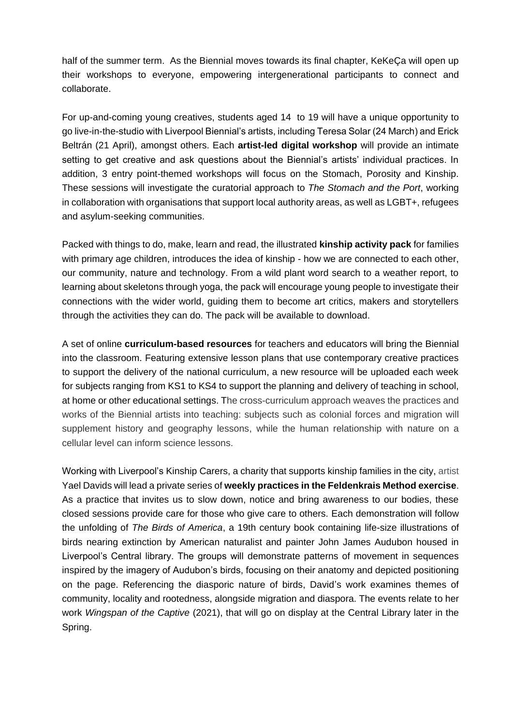half of the summer term. As the Biennial moves towards its final chapter, KeKeÇa will open up their workshops to everyone, empowering intergenerational participants to connect and collaborate.

For up-and-coming young creatives, students aged 14 to 19 will have a unique opportunity to go live-in-the-studio with Liverpool Biennial's artists, including Teresa Solar (24 March) and Erick Beltrán (21 April), amongst others. Each **artist-led digital workshop** will provide an intimate setting to get creative and ask questions about the Biennial's artists' individual practices. In addition, 3 entry point-themed workshops will focus on the Stomach, Porosity and Kinship. These sessions will investigate the curatorial approach to *The Stomach and the Port*, working in collaboration with organisations that support local authority areas, as well as LGBT+, refugees and asylum-seeking communities.

Packed with things to do, make, learn and read, the illustrated **kinship activity pack** for families with primary age children, introduces the idea of kinship - how we are connected to each other, our community, nature and technology. From a wild plant word search to a weather report, to learning about skeletons through yoga, the pack will encourage young people to investigate their connections with the wider world, guiding them to become art critics, makers and storytellers through the activities they can do. The pack will be available to download.

A set of online **curriculum-based resources** for teachers and educators will bring the Biennial into the classroom. Featuring extensive lesson plans that use contemporary creative practices to support the delivery of the national curriculum, a new resource will be uploaded each week for subjects ranging from KS1 to KS4 to support the planning and delivery of teaching in school, at home or other educational settings. The cross-curriculum approach weaves the practices and works of the Biennial artists into teaching: subjects such as colonial forces and migration will supplement history and geography lessons, while the human relationship with nature on a cellular level can inform science lessons.

Working with Liverpool's Kinship Carers, a charity that supports kinship families in the city, artist Yael Davids will lead a private series of **weekly practices in the Feldenkrais Method exercise**. As a practice that invites us to slow down, notice and bring awareness to our bodies, these closed sessions provide care for those who give care to others. Each demonstration will follow the unfolding of *The Birds of America*, a 19th century book containing life-size illustrations of birds nearing extinction by American naturalist and painter John James Audubon housed in Liverpool's Central library. The groups will demonstrate patterns of movement in sequences inspired by the imagery of Audubon's birds, focusing on their anatomy and depicted positioning on the page. Referencing the diasporic nature of birds, David's work examines themes of community, locality and rootedness, alongside migration and diaspora. The events relate to her work *Wingspan of the Captive* (2021), that will go on display at the Central Library later in the Spring.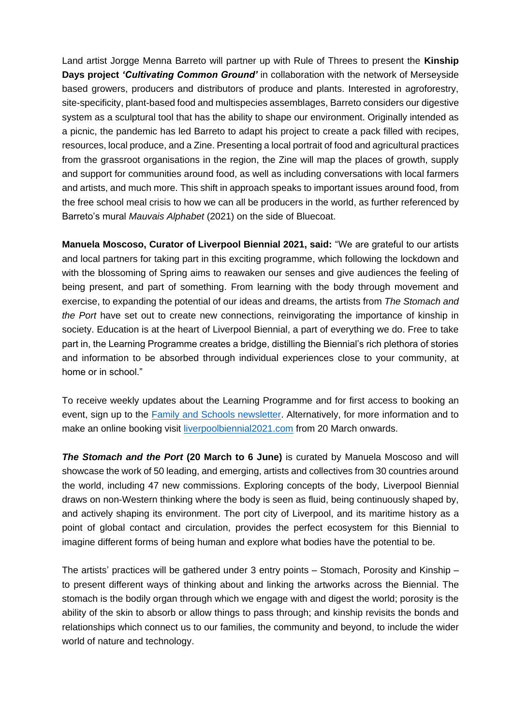Land artist Jorgge Menna Barreto will partner up with Rule of Threes to present the **Kinship Days project** *'Cultivating Common Ground'* in collaboration with the network of Merseyside based growers, producers and distributors of produce and plants. Interested in agroforestry, site-specificity, plant-based food and multispecies assemblages, Barreto considers our digestive system as a sculptural tool that has the ability to shape our environment. Originally intended as a picnic, the pandemic has led Barreto to adapt his project to create a pack filled with recipes, resources, local produce, and a Zine. Presenting a local portrait of food and agricultural practices from the grassroot organisations in the region, the Zine will map the places of growth, supply and support for communities around food, as well as including conversations with local farmers and artists, and much more. This shift in approach speaks to important issues around food, from the free school meal crisis to how we can all be producers in the world, as further referenced by Barreto's mural *Mauvais Alphabet* (2021) on the side of Bluecoat.

**Manuela Moscoso, Curator of Liverpool Biennial 2021, said:** "We are grateful to our artists and local partners for taking part in this exciting programme, which following the lockdown and with the blossoming of Spring aims to reawaken our senses and give audiences the feeling of being present, and part of something. From learning with the body through movement and exercise, to expanding the potential of our ideas and dreams, the artists from *The Stomach and the Port* have set out to create new connections, reinvigorating the importance of kinship in society. Education is at the heart of Liverpool Biennial, a part of everything we do. Free to take part in, the Learning Programme creates a bridge, distilling the Biennial's rich plethora of stories and information to be absorbed through individual experiences close to your community, at home or in school."

To receive weekly updates about the Learning Programme and for first access to booking an event, sign up to the **Family and Schools newsletter**. Alternatively, for more information and to make an online booking visit [liverpoolbiennial2021.com](https://liverpoolbiennial2021.com/) from 20 March onwards.

*The Stomach and the Port* **(20 March to 6 June)** is curated by Manuela Moscoso and will showcase the work of 50 leading, and emerging, artists and collectives from 30 countries around the world, including 47 new commissions. Exploring concepts of the body, Liverpool Biennial draws on non-Western thinking where the body is seen as fluid, being continuously shaped by, and actively shaping its environment. The port city of Liverpool, and its maritime history as a point of global contact and circulation, provides the perfect ecosystem for this Biennial to imagine different forms of being human and explore what bodies have the potential to be.

The artists' practices will be gathered under 3 entry points – Stomach, Porosity and Kinship – to present different ways of thinking about and linking the artworks across the Biennial. The stomach is the bodily organ through which we engage with and digest the world; porosity is the ability of the skin to absorb or allow things to pass through; and kinship revisits the bonds and relationships which connect us to our families, the community and beyond, to include the wider world of nature and technology.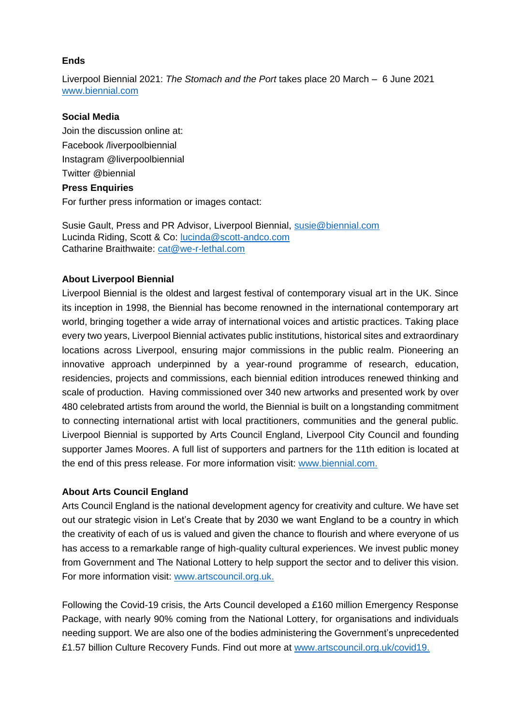#### **Ends**

Liverpool Biennial 2021: *The Stomach and the Port* takes place 20 March – 6 June 2021 [www.biennial.com](http://www.biennial.com/)

#### **Social Media**

Join the discussion online at: Facebook /liverpoolbiennial Instagram @liverpoolbiennial [Twitter](http://www.twitter.com/) @biennial **Press Enquiries**

For further press information or images contact:

Susie Gault, Press and PR Advisor, Liverpool Biennial, [susie@biennial.com](mailto:susie@biennial.com) Lucinda Riding, Scott & Co: [lucinda@scott-andco.com](mailto:lucinda@scott-andco.com) Catharine Braithwaite: [cat@we-r-lethal.com](mailto:cat@we-r-lethal.com)

#### **About Liverpool Biennial**

Liverpool Biennial is the oldest and largest festival of contemporary visual art in the UK. Since its inception in 1998, the Biennial has become renowned in the international contemporary art world, bringing together a wide array of international voices and artistic practices. Taking place every two years, Liverpool Biennial activates public institutions, historical sites and extraordinary locations across Liverpool, ensuring major commissions in the public realm. Pioneering an innovative approach underpinned by a year-round programme of research, education, residencies, projects and commissions, each biennial edition introduces renewed thinking and scale of production. Having commissioned over 340 new artworks and presented work by over 480 celebrated artists from around the world, the Biennial is built on a longstanding commitment to connecting international artist with local practitioners, communities and the general public. Liverpool Biennial is supported by Arts Council England, Liverpool City Council and founding supporter James Moores. A full list of supporters and partners for the 11th edition is located at the end of this press release. For more information visit: [www.biennial.com.](http://www.biennial.com/)

#### **About Arts Council England**

Arts Council England is the national development agency for creativity and culture. We have set out our strategic vision in Let's Create that by 2030 we want England to be a country in which the creativity of each of us is valued and given the chance to flourish and where everyone of us has access to a remarkable range of high-quality cultural experiences. We invest public money from Government and The National Lottery to help support the sector and to deliver this vision. For more information visit: [www.artscouncil.org.uk.](http://www.artscouncil.org.uk/)

Following the Covid-19 crisis, the Arts Council developed a £160 million Emergency Response Package, with nearly 90% coming from the National Lottery, for organisations and individuals needing support. We are also one of the bodies administering the Government's unprecedented £1.57 billion Culture Recovery Funds. Find out more at [www.artscouncil.org.uk/covid19.](http://www.artscouncil.org.uk/covid19)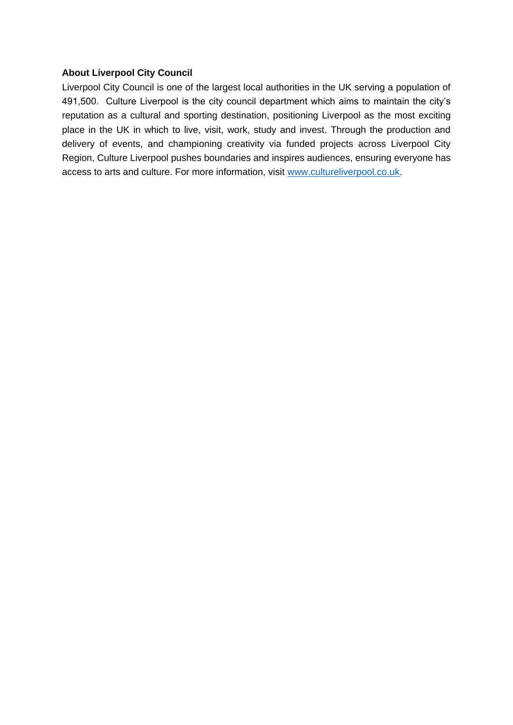#### **About Liverpool City Council**

Liverpool City Council is one of the largest local authorities in the UK serving a population of 491,500. Culture Liverpool is the city council department which aims to maintain the city's reputation as a cultural and sporting destination, positioning Liverpool as the most exciting place in the UK in which to live, visit, work, study and invest. Through the production and delivery of events, and championing creativity via funded projects across Liverpool City Region, Culture Liverpool pushes boundaries and inspires audiences, ensuring everyone has access to arts and culture. For more information, visit [www.cultureliverpool.co.uk.](http://www.cultureliverpool.co.uk/)